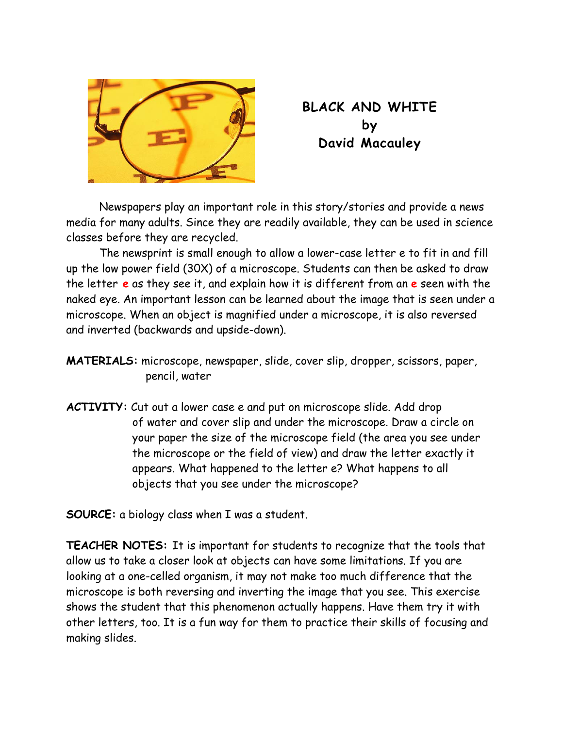

## **BLACK AND WHITE by David Macauley**

Newspapers play an important role in this story/stories and provide a news media for many adults. Since they are readily available, they can be used in science classes before they are recycled.

The newsprint is small enough to allow a lower-case letter e to fit in and fill up the low power field (30X) of a microscope. Students can then be asked to draw the letter **e** as they see it, and explain how it is different from an **e** seen with the naked eye. An important lesson can be learned about the image that is seen under a microscope. When an object is magnified under a microscope, it is also reversed and inverted (backwards and upside-down).

**MATERIALS:** microscope, newspaper, slide, cover slip, dropper, scissors, paper, pencil, water

**ACTIVITY:** Cut out a lower case e and put on microscope slide. Add drop of water and cover slip and under the microscope. Draw a circle on your paper the size of the microscope field (the area you see under the microscope or the field of view) and draw the letter exactly it appears. What happened to the letter e? What happens to all objects that you see under the microscope?

**SOURCE:** a biology class when I was a student.

**TEACHER NOTES:** It is important for students to recognize that the tools that allow us to take a closer look at objects can have some limitations. If you are looking at a one-celled organism, it may not make too much difference that the microscope is both reversing and inverting the image that you see. This exercise shows the student that this phenomenon actually happens. Have them try it with other letters, too. It is a fun way for them to practice their skills of focusing and making slides.